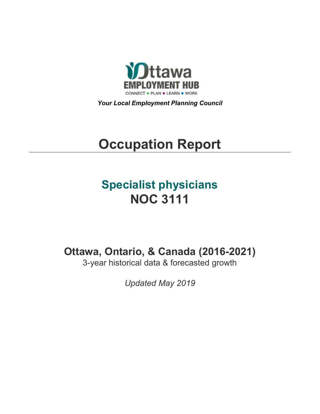

*Your Local Employment Planning Council*

# **Occupation Report**

## **Specialist physicians NOC 3111**

**Ottawa, Ontario, & Canada (2016-2021)**

3-year historical data & forecasted growth

*Updated May 2019*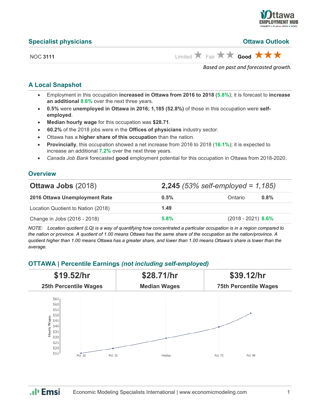

#### **Specialist physicians Ottawa Outlook**

NOC 3111 **Limited Eair Fair Good A A** 

*Based on past and forecasted growth.*

#### **A Local Snapshot**

- Employment in this occupation **increased in Ottawa from 2016 to 2018** (**5.8%**); it is forecast to **increase an additional 8.6%** over the next three years.
- **0.5%** were **unemployed in Ottawa in 2016; 1,185 (52.8%)** of those in this occupation were **selfemployed**.
- **Median hourly wage** for this occupation was **\$28.71**.
- **60.2%** of the 2018 jobs were in the **Offices of physicians** industry sector.
- Ottawa has a **higher share of this occupation** than the nation.
- **Provincially**, this occupation showed a net increase from 2016 to 2018 (**16.1%**); it is expected to increase an additional **7.2%** over the next three years.
- *Canada Job Bank* forecasted **good** employment potential for this occupation in Ottawa from 2018-2020.

#### **Overview**

| <b>Ottawa Jobs (2018)</b>          | <b>2,245</b> (53% self-employed = $1,185$ ) |                      |
|------------------------------------|---------------------------------------------|----------------------|
| 2016 Ottawa Unemployment Rate      | 0.5%                                        | Ontario<br>$0.8\%$   |
| Location Quotient to Nation (2018) | 1.49                                        |                      |
| Change in Jobs (2016 - 2018)       | 5.8%                                        | $(2018 - 2021)$ 8.6% |

*NOTE: Location quotient (LQ) is a way of quantifying how concentrated a particular occupation is in a region compared to the nation or province. A quotient of 1.00 means Ottawa has the same share of the occupation as the nation/province. A quotient higher than 1.00 means Ottawa has a greater share, and lower than 1.00 means Ottawa's share is lower than the average.*

### **OTTAWA | Percentile Earnings** *(not including self-employed)*



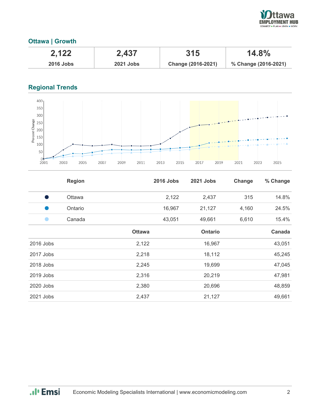

### **Ottawa | Growth**

| 2,122            | 2,437     | 315                | $14.8\%$             |
|------------------|-----------|--------------------|----------------------|
| <b>2016 Jobs</b> | 2021 Jobs | Change (2016-2021) | % Change (2016-2021) |

## **Regional Trends**



|           | <b>Region</b> |               | <b>2016 Jobs</b> | 2021 Jobs      | Change | % Change |
|-----------|---------------|---------------|------------------|----------------|--------|----------|
|           | Ottawa        |               | 2,122            | 2,437          | 315    | 14.8%    |
|           | Ontario       |               | 16,967           | 21,127         | 4,160  | 24.5%    |
|           | Canada        |               | 43,051           | 49,661         | 6,610  | 15.4%    |
|           |               | <b>Ottawa</b> |                  | <b>Ontario</b> |        | Canada   |
| 2016 Jobs |               | 2,122         |                  | 16,967         |        | 43,051   |
| 2017 Jobs |               | 2,218         |                  | 18,112         |        | 45,245   |
| 2018 Jobs |               | 2,245         |                  | 19,699         |        | 47,045   |
| 2019 Jobs |               | 2,316         |                  | 20,219         |        | 47,981   |
| 2020 Jobs |               | 2,380         |                  | 20,696         |        | 48,859   |
| 2021 Jobs |               | 2,437         |                  | 21,127         |        | 49,661   |

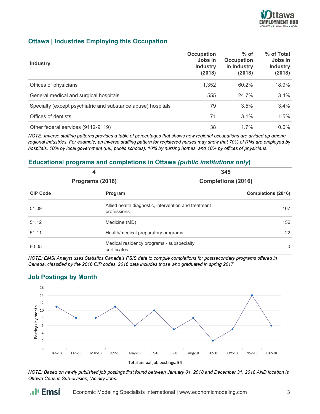

#### **Ottawa | Industries Employing this Occupation**

| <b>Industry</b>                                              | Occupation<br>Jobs in<br><b>Industry</b><br>(2018) | $%$ of<br>Occupation<br>in Industry<br>(2018) | % of Total<br>Jobs in<br><b>Industry</b><br>(2018) |
|--------------------------------------------------------------|----------------------------------------------------|-----------------------------------------------|----------------------------------------------------|
| Offices of physicians                                        | 1,352                                              | 60.2%                                         | 18.9%                                              |
| General medical and surgical hospitals                       | 555                                                | 24.7%                                         | 3.4%                                               |
| Specialty (except psychiatric and substance abuse) hospitals | 79                                                 | 3.5%                                          | 3.4%                                               |
| Offices of dentists                                          | 71                                                 | $3.1\%$                                       | 1.5%                                               |
| Other federal services (9112-9119)                           | 38                                                 | 1.7%                                          | $0.0\%$                                            |

*NOTE: Inverse staffing patterns provides a table of percentages that shows how regional occupations are divided up among regional industries. For example, an inverse staffing pattern for registered nurses may show that 70% of RNs are employed by hospitals, 10% by local government (i.e., public schools), 10% by nursing homes, and 10% by offices of physicians.*

#### **Educational programs and completions in Ottawa** *(public institutions only***)**

| 4<br>Programs (2016) |                                                                     | 345<br><b>Completions (2016)</b> |                           |
|----------------------|---------------------------------------------------------------------|----------------------------------|---------------------------|
| <b>CIP Code</b>      | Program                                                             |                                  | <b>Completions (2016)</b> |
| 51.09                | Allied health diagnostic, intervention and treatment<br>professions |                                  | 167                       |
| 51.12                | Medicine (MD)                                                       |                                  | 156                       |
| 51.11                | Health/medical preparatory programs                                 |                                  | 22                        |
| 60.05                | Medical residency programs - subspecialty<br>certificates           |                                  | $\Omega$                  |

*NOTE: EMSI Analyst uses Statistics Canada's PSIS data to compile completions for postsecondary programs offered in Canada, classified by the 2016 CIP codes. 2016 data includes those who graduated in spring 2017.*

## **Job Postings by Month**

.. I<sub>'</sub> Emsi



*NOTE: Based on newly published job postings first found between January 01, 2018 and December 31, 2018 AND location is Ottawa Census Sub-division, Vicinity Jobs.*